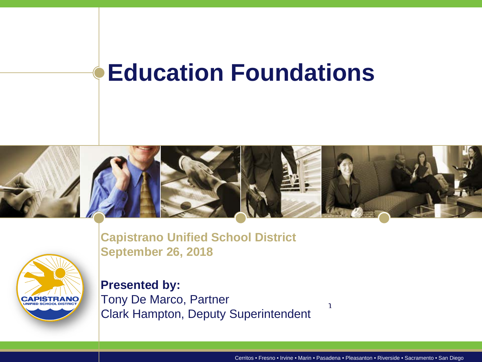#### **Education Foundations**





**Capistrano Unified School District September 26, 2018**

**Presented by:** Tony De Marco, Partner Clark Hampton, Deputy Superintendent

Cerritos • Fresno • Irvine • Marin • Pasadena • Pleasanton • Riverside • Sacramento • San Diego

 $\mathbf{1}$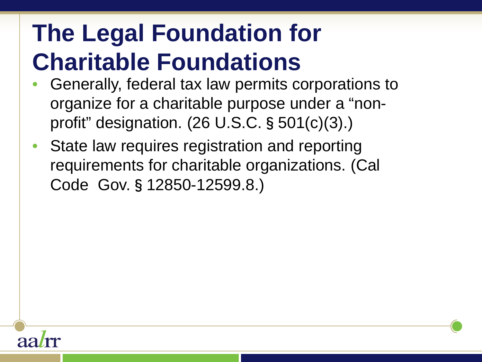- Generally, federal tax law permits corporations to organize for a charitable purpose under a "nonprofit" designation. (26 U.S.C.§501(c)(3).)
- State law requires registration and reporting requirements for charitable organizations. (Cal Code Gov.§12850-12599.8.)

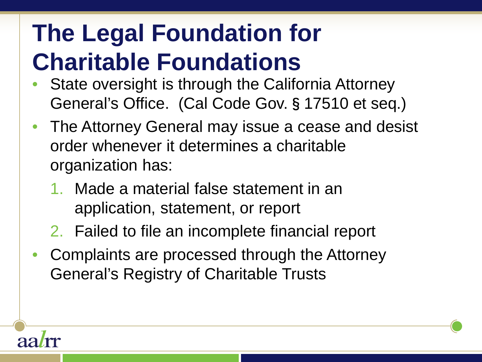- State oversight is through the California Attorney General's Office. (Cal Code Gov.§17510 et seq.)
- The Attorney General may issue a cease and desist order whenever it determines a charitable organization has:
	- 1. Made a material false statement in an application, statement, or report
	- 2. Failed to file an incomplete financial report
- Complaints are processed through the Attorney General's Registry of Charitable Trusts

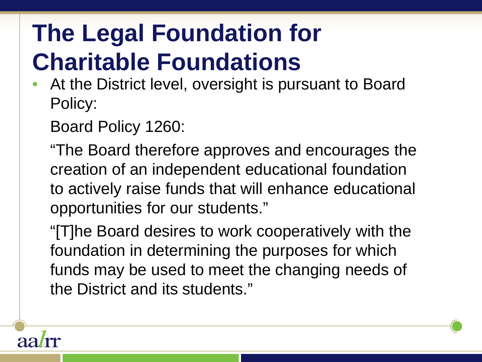At the District level, oversight is pursuant to Board Policy:

Board Policy 1260:

"The Board therefore approves and encourages the creation of an independent educational foundation to actively raise funds that will enhance educational opportunities for our students."

"[T]he Board desires to work cooperatively with the foundation in determining the purposes for which funds may be used to meet the changing needs of the District and its students."

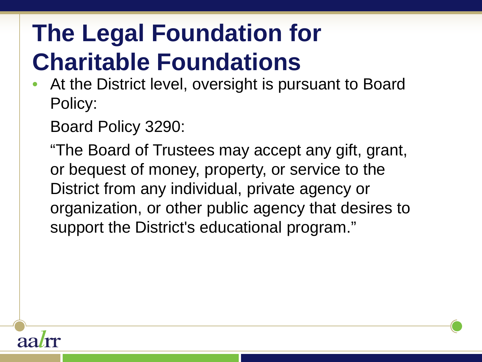At the District level, oversight is pursuant to Board Policy:

Board Policy 3290:

"The Board of Trustees may accept any gift, grant, or bequest of money, property, or service to the District from any individual, private agency or organization, or other public agency that desires to support the District's educational program."

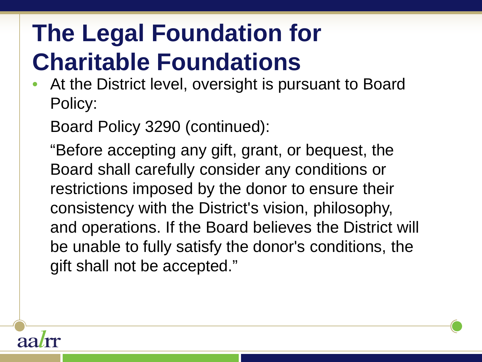At the District level, oversight is pursuant to Board Policy:

Board Policy 3290 (continued):

"Before accepting any gift, grant, or bequest, the Board shall carefully consider any conditions or restrictions imposed by the donor to ensure their consistency with the District's vision, philosophy, and operations. If the Board believes the District will be unable to fully satisfy the donor's conditions, the gift shall not be accepted."

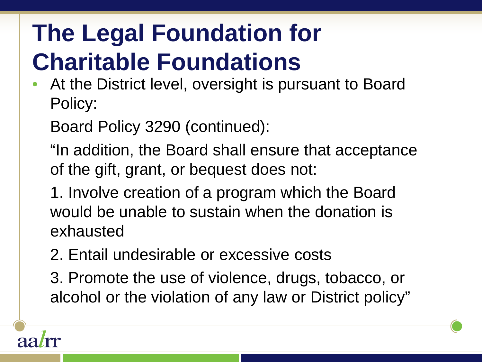At the District level, oversight is pursuant to Board Policy:

Board Policy 3290 (continued):

"In addition, the Board shall ensure that acceptance of the gift, grant, or bequest does not:

1. Involve creation of a program which the Board would be unable to sustain when the donation is exhausted

2. Entail undesirable or excessive costs

3. Promote the use of violence, drugs, tobacco, or alcohol or the violation of any law or District policy"

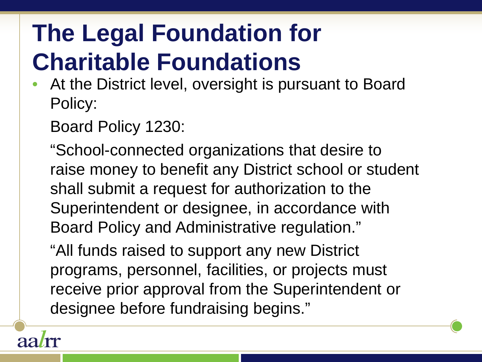At the District level, oversight is pursuant to Board Policy:

Board Policy 1230:

"School-connected organizations that desire to raise money to benefit any District school or student shall submit a request for authorization to the Superintendent or designee, in accordance with Board Policy and Administrative regulation."

"All funds raised to support any new District programs, personnel, facilities, or projects must receive prior approval from the Superintendent or designee before fundraising begins."

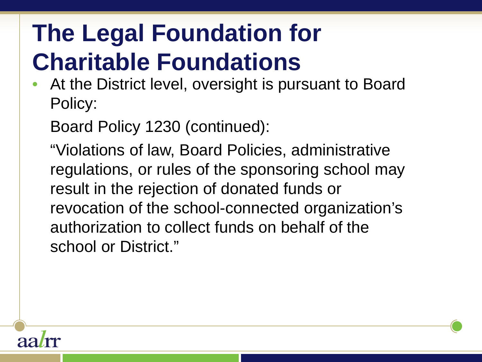At the District level, oversight is pursuant to Board Policy:

Board Policy 1230 (continued):

"Violations of law, Board Policies, administrative regulations, or rules of the sponsoring school may result in the rejection of donated funds or revocation of the school-connected organization's authorization to collect funds on behalf of the school or District."

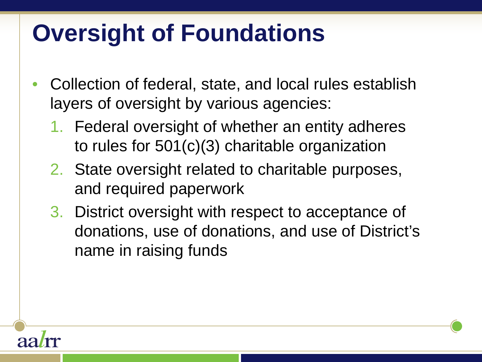## **Oversight of Foundations**

- Collection of federal, state, and local rules establish layers of oversight by various agencies:
	- 1. Federal oversight of whether an entity adheres to rules for 501(c)(3) charitable organization
	- 2. State oversight related to charitable purposes, and required paperwork
	- 3. District oversight with respect to acceptance of donations, use of donations, and use of District's name in raising funds

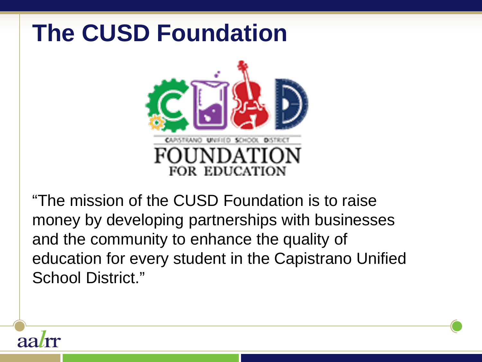

"The mission of the CUSD Foundation is to raise money by developing partnerships with businesses and the community to enhance the quality of education for every student in the Capistrano Unified School District."

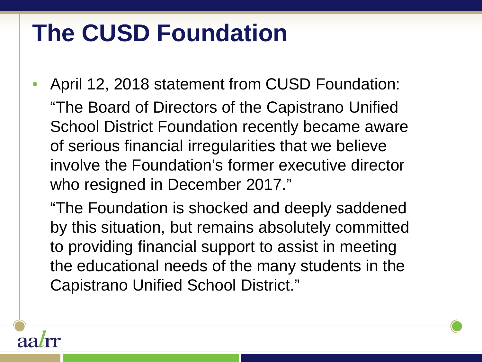• April 12, 2018 statement from CUSD Foundation: "The Board of Directors of the Capistrano Unified School District Foundation recently became aware of serious financial irregularities that we believe involve the Foundation's former executive director who resigned in December 2017."

"The Foundation is shocked and deeply saddened by this situation, but remains absolutely committed to providing financial support to assist in meeting the educational needs of the many students in the Capistrano Unified School District."

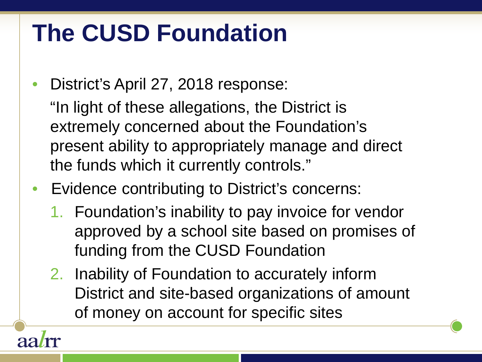• District's April 27, 2018 response:

"In light of these allegations, the District is extremely concerned about the Foundation's present ability to appropriately manage and direct the funds which it currently controls."

- Evidence contributing to District's concerns:
	- 1. Foundation's inability to pay invoice for vendor approved by a school site based on promises of funding from the CUSD Foundation
	- 2. Inability of Foundation to accurately inform District and site-based organizations of amount of money on account for specific sites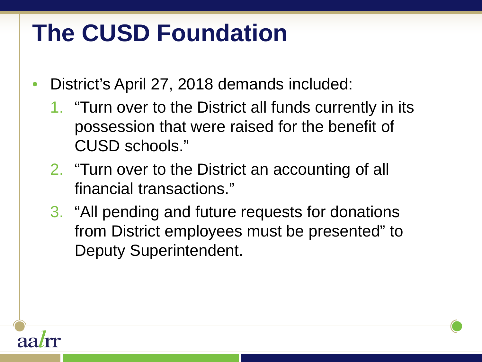- District's April 27, 2018 demands included:
	- 1. "Turn over to the District all funds currently in its possession that were raised for the benefit of CUSD schools."
	- 2. "Turn over to the District an accounting of all financial transactions."
	- 3. "All pending and future requests for donations from District employees must be presented" to Deputy Superintendent.

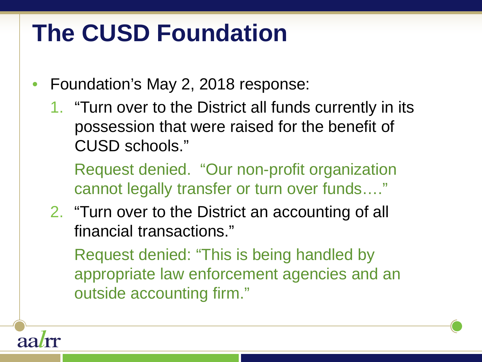- Foundation's May 2, 2018 response:
	- 1. "Turn over to the District all funds currently in its possession that were raised for the benefit of CUSD schools."

Request denied. "Our non-profit organization cannot legally transfer or turn over funds…."

2. "Turn over to the District an accounting of all financial transactions."

Request denied: "This is being handled by appropriate law enforcement agencies and an outside accounting firm."

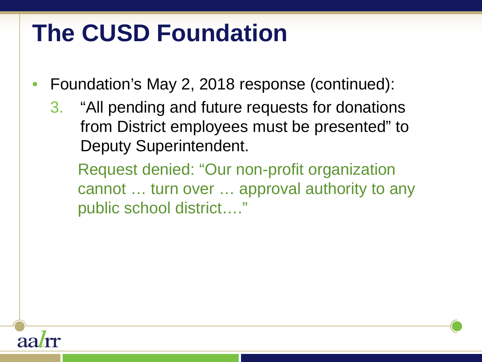- Foundation's May 2, 2018 response (continued):
	- 3. "All pending and future requests for donations from District employees must be presented" to Deputy Superintendent.

Request denied: "Our non-profit organization cannot … turn over … approval authority to any public school district…."

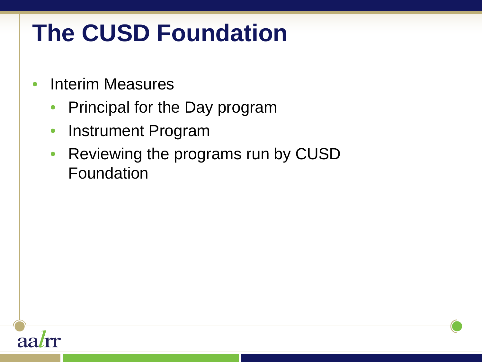- Interim Measures
	- Principal for the Day program
	- Instrument Program
	- Reviewing the programs run by CUSD Foundation

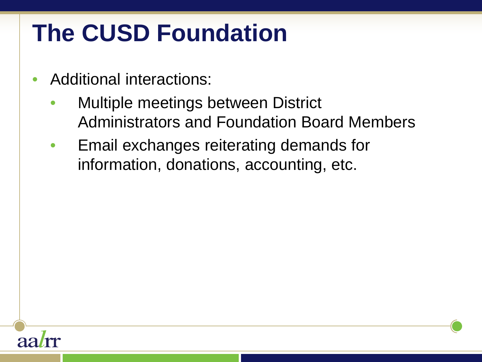- Additional interactions:
	- **Multiple meetings between District** Administrators and Foundation Board Members
	- Email exchanges reiterating demands for information, donations, accounting, etc.

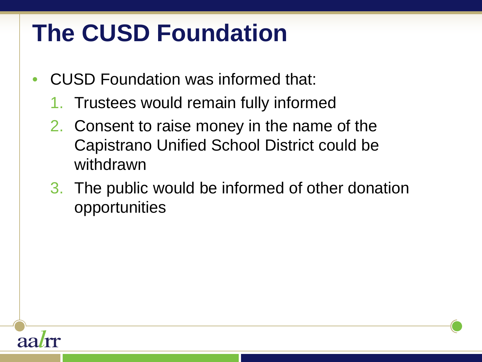- CUSD Foundation was informed that:
	- 1. Trustees would remain fully informed
	- 2. Consent to raise money in the name of the Capistrano Unified School District could be withdrawn
	- 3. The public would be informed of other donation opportunities

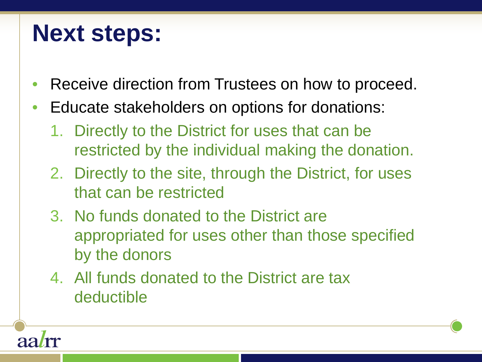#### **Next steps:**

- Receive direction from Trustees on how to proceed.
- Educate stakeholders on options for donations:
	- 1. Directly to the District for uses that can be restricted by the individual making the donation.
	- 2. Directly to the site, through the District, for uses that can be restricted
	- 3. No funds donated to the District are appropriated for uses other than those specified by the donors
	- 4. All funds donated to the District are tax deductible